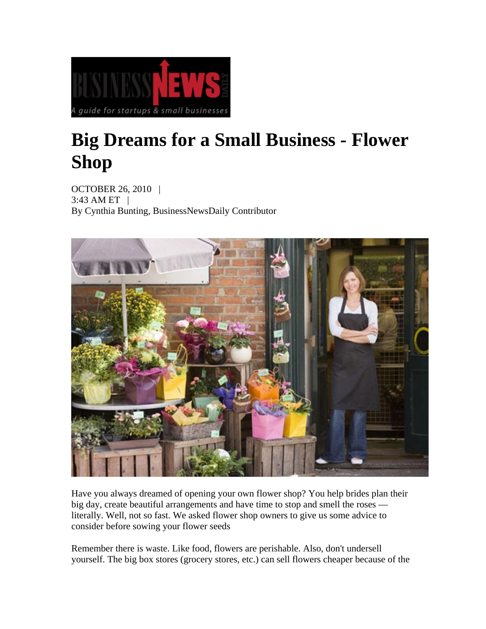

# **Big Dreams for a Small Business - Flower Shop**

OCTOBER 26, 2010 | 3:43 AM ET | By Cynthia Bunting, BusinessNewsDaily Contributor



Have you always dreamed of opening your own flower shop? You help brides plan their big day, create beautiful arrangements and have time to stop and smell the roses literally. Well, not so fast. We asked flower shop owners to give us some advice to consider before sowing your flower seeds

Remember there is waste. Like food, flowers are perishable. Also, don't undersell yourself. The big box stores (grocery stores, etc.) can sell flowers cheaper because of the